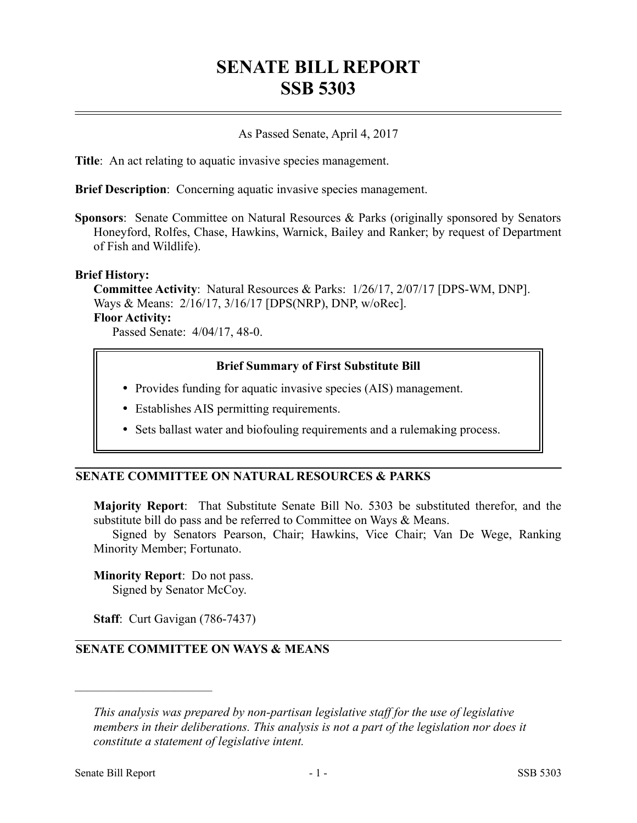# **SENATE BILL REPORT SSB 5303**

## As Passed Senate, April 4, 2017

**Title**: An act relating to aquatic invasive species management.

**Brief Description**: Concerning aquatic invasive species management.

**Sponsors**: Senate Committee on Natural Resources & Parks (originally sponsored by Senators Honeyford, Rolfes, Chase, Hawkins, Warnick, Bailey and Ranker; by request of Department of Fish and Wildlife).

#### **Brief History:**

**Committee Activity**: Natural Resources & Parks: 1/26/17, 2/07/17 [DPS-WM, DNP]. Ways & Means: 2/16/17, 3/16/17 [DPS(NRP), DNP, w/oRec]. **Floor Activity:**

Passed Senate: 4/04/17, 48-0.

## **Brief Summary of First Substitute Bill**

- Provides funding for aquatic invasive species (AIS) management.
- Establishes AIS permitting requirements.
- Sets ballast water and biofouling requirements and a rulemaking process.

## **SENATE COMMITTEE ON NATURAL RESOURCES & PARKS**

**Majority Report**: That Substitute Senate Bill No. 5303 be substituted therefor, and the substitute bill do pass and be referred to Committee on Ways & Means.

Signed by Senators Pearson, Chair; Hawkins, Vice Chair; Van De Wege, Ranking Minority Member; Fortunato.

## **Minority Report**: Do not pass.

Signed by Senator McCoy.

**Staff**: Curt Gavigan (786-7437)

## **SENATE COMMITTEE ON WAYS & MEANS**

––––––––––––––––––––––

*This analysis was prepared by non-partisan legislative staff for the use of legislative members in their deliberations. This analysis is not a part of the legislation nor does it constitute a statement of legislative intent.*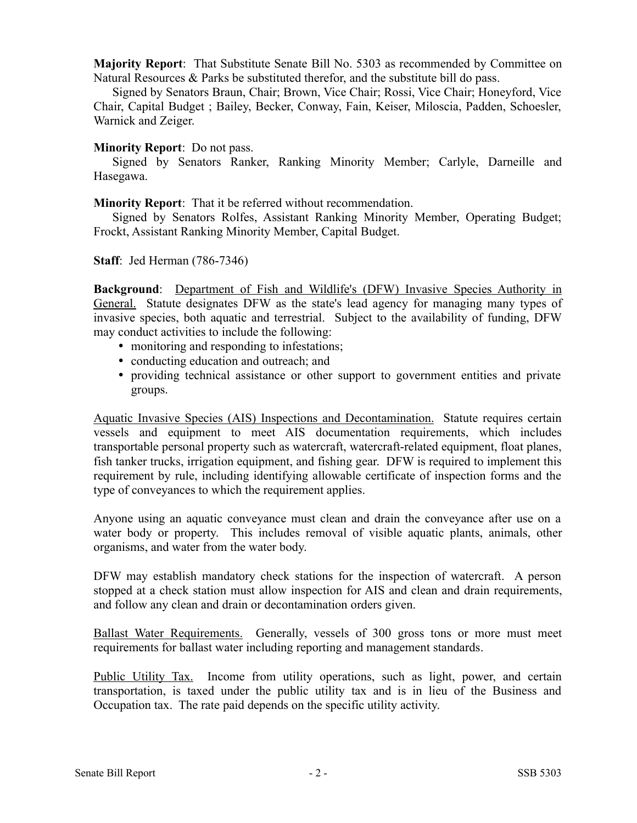**Majority Report**: That Substitute Senate Bill No. 5303 as recommended by Committee on Natural Resources & Parks be substituted therefor, and the substitute bill do pass.

Signed by Senators Braun, Chair; Brown, Vice Chair; Rossi, Vice Chair; Honeyford, Vice Chair, Capital Budget ; Bailey, Becker, Conway, Fain, Keiser, Miloscia, Padden, Schoesler, Warnick and Zeiger.

#### **Minority Report**: Do not pass.

Signed by Senators Ranker, Ranking Minority Member; Carlyle, Darneille and Hasegawa.

**Minority Report**: That it be referred without recommendation.

Signed by Senators Rolfes, Assistant Ranking Minority Member, Operating Budget; Frockt, Assistant Ranking Minority Member, Capital Budget.

**Staff**: Jed Herman (786-7346)

**Background**: Department of Fish and Wildlife's (DFW) Invasive Species Authority in General. Statute designates DFW as the state's lead agency for managing many types of invasive species, both aquatic and terrestrial. Subject to the availability of funding, DFW may conduct activities to include the following:

- monitoring and responding to infestations;
- conducting education and outreach; and
- providing technical assistance or other support to government entities and private groups.

Aquatic Invasive Species (AIS) Inspections and Decontamination. Statute requires certain vessels and equipment to meet AIS documentation requirements, which includes transportable personal property such as watercraft, watercraft-related equipment, float planes, fish tanker trucks, irrigation equipment, and fishing gear. DFW is required to implement this requirement by rule, including identifying allowable certificate of inspection forms and the type of conveyances to which the requirement applies.

Anyone using an aquatic conveyance must clean and drain the conveyance after use on a water body or property. This includes removal of visible aquatic plants, animals, other organisms, and water from the water body.

DFW may establish mandatory check stations for the inspection of watercraft. A person stopped at a check station must allow inspection for AIS and clean and drain requirements, and follow any clean and drain or decontamination orders given.

Ballast Water Requirements. Generally, vessels of 300 gross tons or more must meet requirements for ballast water including reporting and management standards.

Public Utility Tax. Income from utility operations, such as light, power, and certain transportation, is taxed under the public utility tax and is in lieu of the Business and Occupation tax. The rate paid depends on the specific utility activity.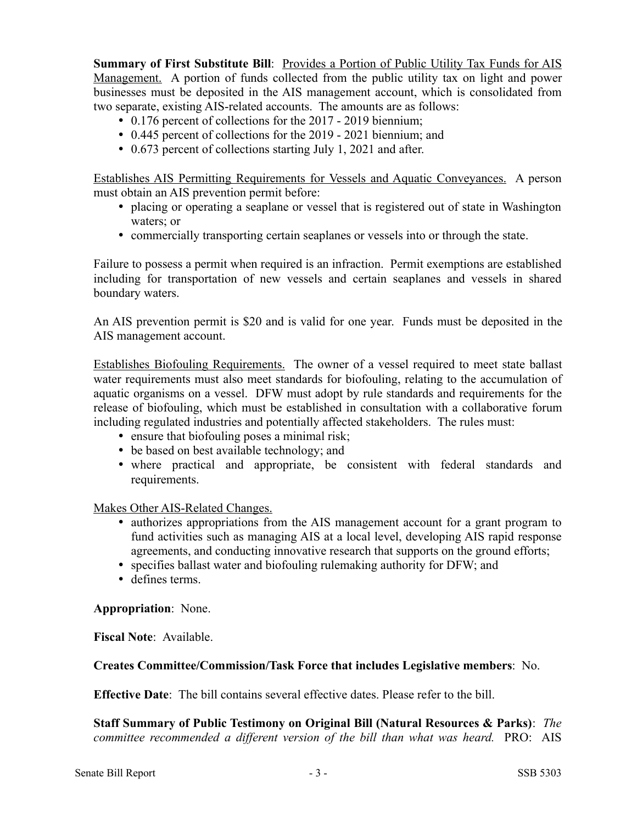**Summary of First Substitute Bill**: Provides a Portion of Public Utility Tax Funds for AIS Management. A portion of funds collected from the public utility tax on light and power businesses must be deposited in the AIS management account, which is consolidated from two separate, existing AIS-related accounts. The amounts are as follows:

- 0.176 percent of collections for the 2017 2019 biennium;
- 0.445 percent of collections for the 2019 2021 biennium; and
- 0.673 percent of collections starting July 1, 2021 and after.

Establishes AIS Permitting Requirements for Vessels and Aquatic Conveyances. A person must obtain an AIS prevention permit before:

- placing or operating a seaplane or vessel that is registered out of state in Washington waters; or
- commercially transporting certain seaplanes or vessels into or through the state.

Failure to possess a permit when required is an infraction. Permit exemptions are established including for transportation of new vessels and certain seaplanes and vessels in shared boundary waters.

An AIS prevention permit is \$20 and is valid for one year. Funds must be deposited in the AIS management account.

Establishes Biofouling Requirements. The owner of a vessel required to meet state ballast water requirements must also meet standards for biofouling, relating to the accumulation of aquatic organisms on a vessel. DFW must adopt by rule standards and requirements for the release of biofouling, which must be established in consultation with a collaborative forum including regulated industries and potentially affected stakeholders. The rules must:

- ensure that biofouling poses a minimal risk;
- be based on best available technology; and
- where practical and appropriate, be consistent with federal standards and requirements.

Makes Other AIS-Related Changes.

- authorizes appropriations from the AIS management account for a grant program to fund activities such as managing AIS at a local level, developing AIS rapid response agreements, and conducting innovative research that supports on the ground efforts;
- specifies ballast water and biofouling rulemaking authority for DFW; and
- defines terms.

**Appropriation**: None.

**Fiscal Note**: Available.

## **Creates Committee/Commission/Task Force that includes Legislative members**: No.

**Effective Date**: The bill contains several effective dates. Please refer to the bill.

**Staff Summary of Public Testimony on Original Bill (Natural Resources & Parks)**: *The committee recommended a different version of the bill than what was heard.* PRO: AIS